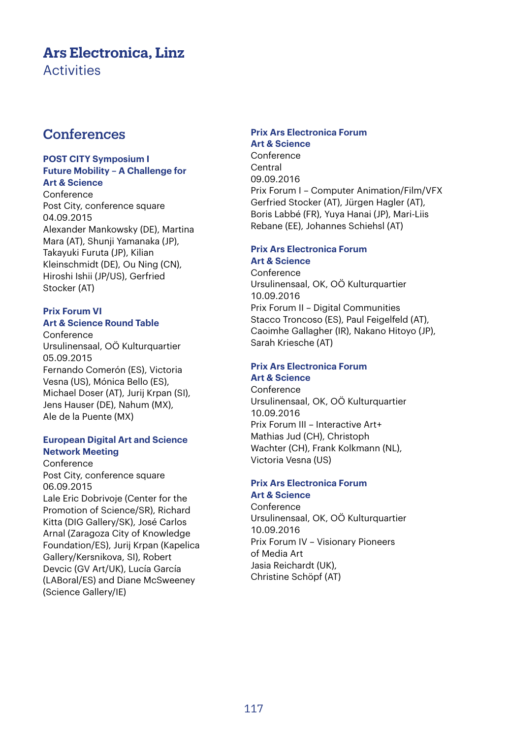# **Ars Electronica, Linz**

**Activities** 

# **Conferences**

#### **POST CITY Symposium I Future Mobility – A Challenge for Art & Science**

Conference Post City, conference square 04.09.2015 Alexander Mankowsky (DE), Martina Mara (AT), Shunji Yamanaka (JP), Takayuki Furuta (JP), Kilian Kleinschmidt (DE), Ou Ning (CN), Hiroshi Ishii (JP/US), Gerfried Stocker (AT)

### **Prix Forum VI Art & Science Round Table**

Conference Ursulinensaal, OÖ Kulturquartier 05.09.2015 Fernando Comerón (ES), Victoria Vesna (US), Mónica Bello (ES), Michael Doser (AT), Jurij Krpan (SI), Jens Hauser (DE), Nahum (MX), Ale de la Puente (MX)

### **European Digital Art and Science Network Meeting**

Conference Post City, conference square 06.09.2015 Lale Eric Dobrivoje (Center for the Promotion of Science/SR), Richard Kitta (DIG Gallery/SK), José Carlos Arnal (Zaragoza City of Knowledge Foundation/ES), Jurij Krpan (Kapelica Gallery/Kersnikova, SI), Robert Devcic (GV Art/UK), Lucía García (LABoral/ES) and Diane McSweeney (Science Gallery/IE)

# **Prix Ars Electronica Forum**

**Art & Science**  Conference Central 09.09.2016 Prix Forum I – Computer Animation/Film/VFX Gerfried Stocker (AT), Jürgen Hagler (AT), Boris Labbé (FR), Yuya Hanai (JP), Mari-Liis Rebane (EE), Johannes Schiehsl (AT)

#### **Prix Ars Electronica Forum Art & Science**

Conference Ursulinensaal, OK, OÖ Kulturquartier 10.09.2016 Prix Forum II – Digital Communities Stacco Troncoso (ES), Paul Feigelfeld (AT), Caoimhe Gallagher (IR), Nakano Hitoyo (JP), Sarah Kriesche (AT)

#### **Prix Ars Electronica Forum Art & Science**

Conference Ursulinensaal, OK, OÖ Kulturquartier 10.09.2016 Prix Forum III – Interactive Art+ Mathias Jud (CH), Christoph Wachter (CH), Frank Kolkmann (NL), Victoria Vesna (US)

### **Prix Ars Electronica Forum Art & Science**

Conference Ursulinensaal, OK, OÖ Kulturquartier 10.09.2016 Prix Forum IV – Visionary Pioneers of Media Art Jasia Reichardt (UK), Christine Schöpf (AT)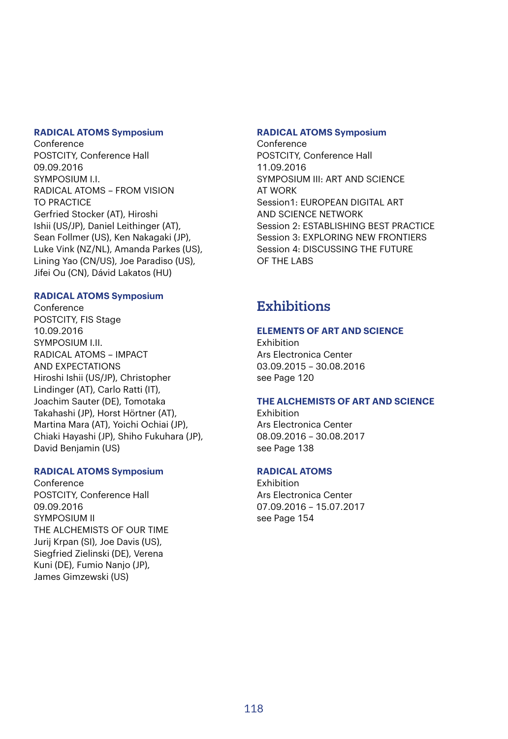#### **RADICAL ATOMS Symposium**

Conference POSTCITY, Conference Hall 09.09.2016 SYMPOSIUM I.I. RADICAL ATOMS – FROM VISION TO PRACTICE Gerfried Stocker (AT), Hiroshi Ishii (US/JP), Daniel Leithinger (AT), Sean Follmer (US), Ken Nakagaki (JP), Luke Vink (NZ/NL), Amanda Parkes (US), Lining Yao (CN/US), Joe Paradiso (US), Jifei Ou (CN), Dávid Lakatos (HU)

#### **RADICAL ATOMS Symposium**

Conference POSTCITY, FIS Stage 10.09.2016 SYMPOSIUM I.II. RADICAL ATOMS – IMPACT AND EXPECTATIONS Hiroshi Ishii (US/JP), Christopher Lindinger (AT), Carlo Ratti (IT), Joachim Sauter (DE), Tomotaka Takahashi (JP), Horst Hörtner (AT), Martina Mara (AT), Yoichi Ochiai (JP), Chiaki Hayashi (JP), Shiho Fukuhara (JP), David Benjamin (US)

#### **RADICAL ATOMS Symposium**

Conference POSTCITY, Conference Hall 09.09.2016 SYMPOSIUM II THE ALCHEMISTS OF OUR TIME Jurij Krpan (SI), Joe Davis (US), Siegfried Zielinski (DE), Verena Kuni (DE), Fumio Nanjo (JP), James Gimzewski (US)

#### **RADICAL ATOMS Symposium**

Conference POSTCITY, Conference Hall 11.09.2016 SYMPOSIUM III: ART AND SCIENCE AT WORK Session1: EUROPEAN DIGITAL ART AND SCIENCE NETWORK Session 2: ESTABLISHING BEST PRACTICE Session 3: EXPLORING NEW FRONTIERS Session 4: DISCUSSING THE FUTURE OF THE LABS

# **Exhibitions**

#### **ELEMENTS OF ART AND SCIENCE**

**Exhibition** Ars Electronica Center 03.09.2015 – 30.08.2016 see Page 120

#### **THE ALCHEMISTS OF ART AND SCIENCE**

Exhibition Ars Electronica Center 08.09.2016 – 30.08.2017 see Page 138

#### **RADICAL ATOMS**

Exhibition Ars Electronica Center 07.09.2016 – 15.07.2017 see Page 154